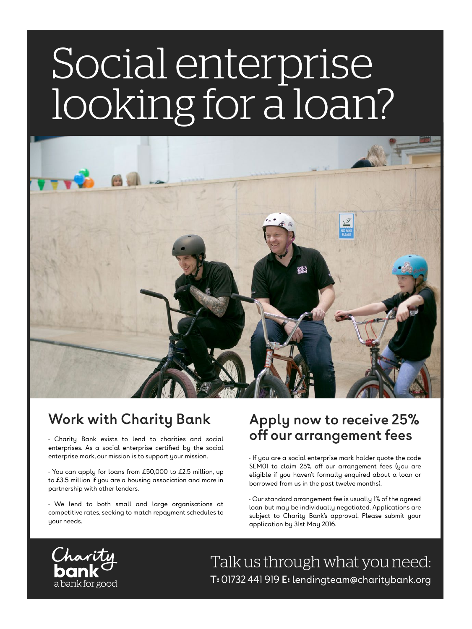# Social enterprise looking for a loan?



### **Work with Charity Bank**

• Charity Bank exists to lend to charities and social enterprises. As a social enterprise certified by the social enterprise mark, our mission is to support your mission.

• You can apply for loans from £50,000 to £2.5 million, up to £3.5 million if you are a housing association and more in partnership with other lenders.

• We lend to both small and large organisations at competitive rates, seeking to match repayment schedules to your needs.

#### **Apply now to receive 25% off our arrangement fees**

• If you are a social enterprise mark holder quote the code SEM01 to claim 25% off our arrangement fees (you are eligible if you haven't formally enquired about a loan or borrowed from us in the past twelve months).

• Our standard arrangement fee is usually 1% of the agreed loan but may be individually negotiated. Applications are subject to Charity Bank's approval. Please submit your application by 31st May 2016.



Talk us through what you need: **T:** 01732 441 919 **E:** lendingteam@charitybank.org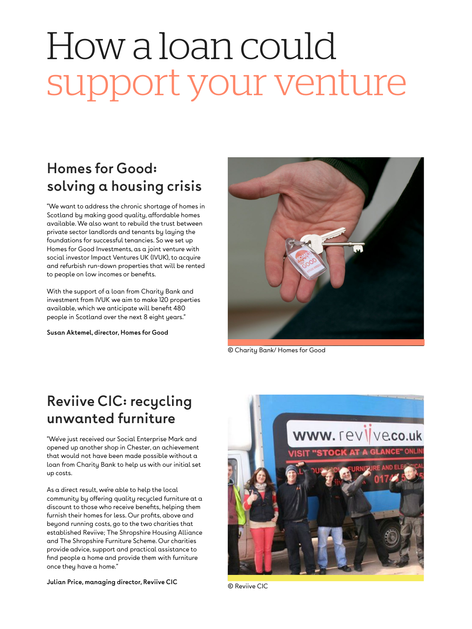## How a loan could support your venture

### **Homes for Good: solving a housing crisis**

"We want to address the chronic shortage of homes in Scotland by making good quality, affordable homes available. We also want to rebuild the trust between private sector landlords and tenants by laying the foundations for successful tenancies. So we set up Homes for Good Investments, as a joint venture with social investor Impact Ventures UK (IVUK), to acquire and refurbish run-down properties that will be rented to people on low incomes or benefits.

With the support of a loan from Charity Bank and investment from IVUK we aim to make 120 properties available, which we anticipate will benefit 480 people in Scotland over the next 8 eight years."

**Susan Aktemel, director, Homes for Good**



© Charity Bank/ Homes for Good

#### **Reviive CIC: recycling unwanted furniture**

"We've just received our Social Enterprise Mark and opened up another shop in Chester, an achievement that would not have been made possible without a loan from Charity Bank to help us with our initial set up costs.

As a direct result, we're able to help the local community by offering quality recycled furniture at a discount to those who receive benefits, helping them furnish their homes for less. Our profits, above and beyond running costs, go to the two charities that established Reviive; The Shropshire Housing Alliance and The Shropshire Furniture Scheme. Our charities provide advice, support and practical assistance to find people a home and provide them with furniture once they have a home."

**Julian Price, managing director, Reviive CIC**



© Reviive CIC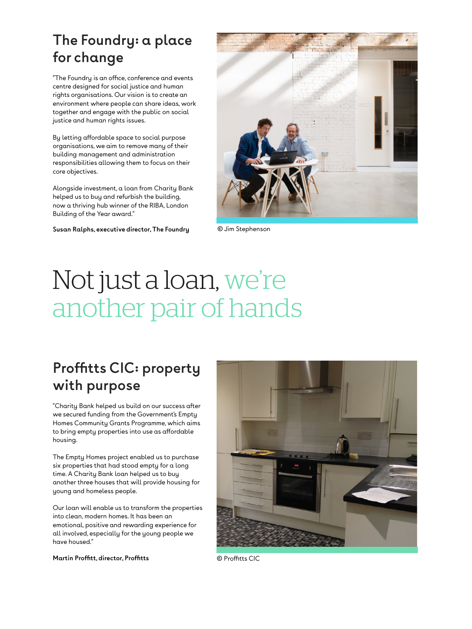#### **The Foundry: a place for change**

"The Foundry is an office, conference and events centre designed for social justice and human rights organisations. Our vision is to create an environment where people can share ideas, work together and engage with the public on social justice and human rights issues.

By letting affordable space to social purpose organisations, we aim to remove many of their building management and administration responsibilities allowing them to focus on their core objectives.

Alongside investment, a loan from Charity Bank helped us to buy and refurbish the building, now a thriving hub winner of the RIBA, London Building of the Year award."

**Susan Ralphs, executive director, The Foundry** © Jim Stephenson



### Not just a loan, we're another pair of hands

#### **Proffitts CIC: property with purpose**

"Charity Bank helped us build on our success after we secured funding from the Government's Empty Homes Community Grants Programme, which aims to bring empty properties into use as affordable housing.

The Empty Homes project enabled us to purchase six properties that had stood empty for a long time. A Charity Bank loan helped us to buy another three houses that will provide housing for young and homeless people.

Our loan will enable us to transform the properties into clean, modern homes. It has been an emotional, positive and rewarding experience for all involved, especially for the young people we have housed."



#### **Martin Proffitt, director, Proffitts**

© Proffitts CIC